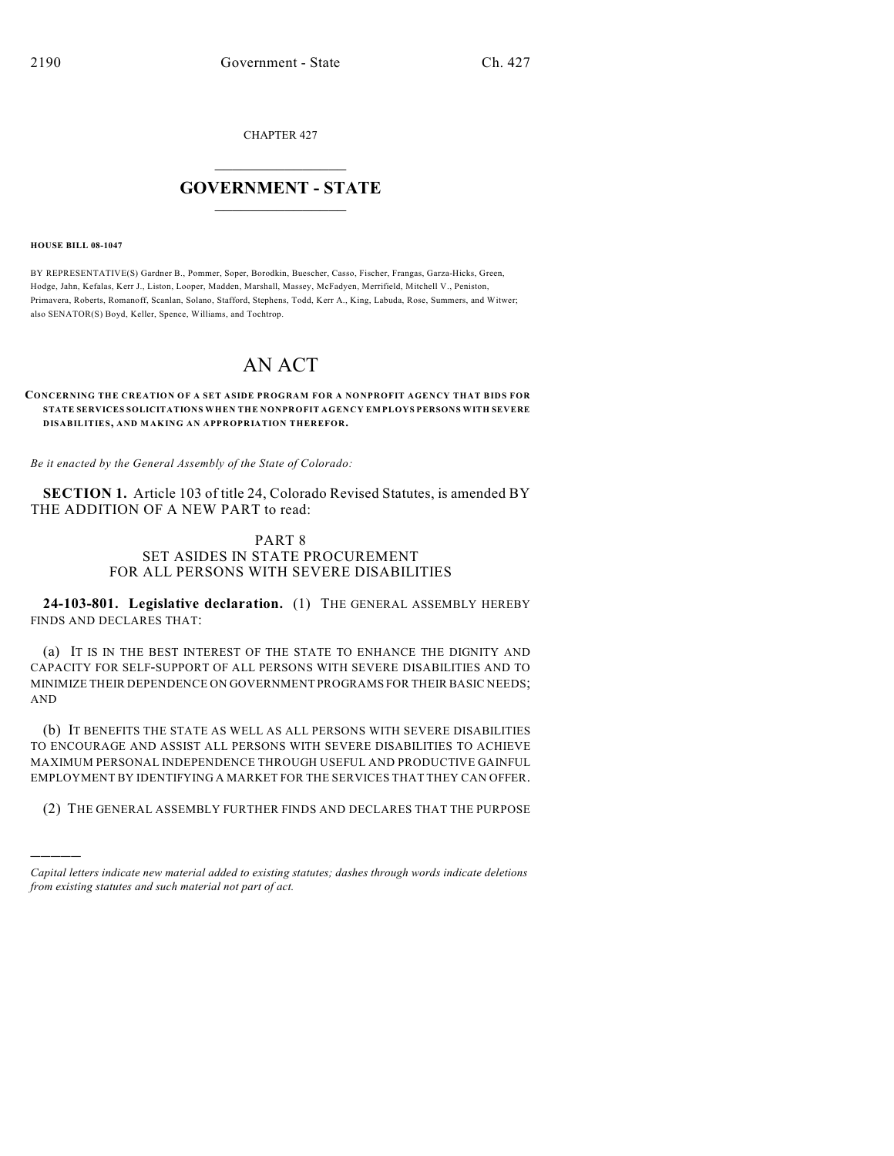CHAPTER 427

## $\overline{\phantom{a}}$  . The set of the set of the set of the set of the set of the set of the set of the set of the set of the set of the set of the set of the set of the set of the set of the set of the set of the set of the set o **GOVERNMENT - STATE**  $\_$

**HOUSE BILL 08-1047**

)))))

BY REPRESENTATIVE(S) Gardner B., Pommer, Soper, Borodkin, Buescher, Casso, Fischer, Frangas, Garza-Hicks, Green, Hodge, Jahn, Kefalas, Kerr J., Liston, Looper, Madden, Marshall, Massey, McFadyen, Merrifield, Mitchell V., Peniston, Primavera, Roberts, Romanoff, Scanlan, Solano, Stafford, Stephens, Todd, Kerr A., King, Labuda, Rose, Summers, and Witwer; also SENATOR(S) Boyd, Keller, Spence, Williams, and Tochtrop.

# AN ACT

## **CONCERNING THE CREATION OF A SET ASIDE PROGRAM FOR A NONPROFIT AGENCY THAT BIDS FOR STATE SERVICES SOLICITATIONS WHEN THE NONPROFIT AGENCY EM PLOYS PERSONS WITH SEVERE DISABILITIES, AND MAKING AN APPROPRIATION THEREFOR.**

*Be it enacted by the General Assembly of the State of Colorado:*

**SECTION 1.** Article 103 of title 24, Colorado Revised Statutes, is amended BY THE ADDITION OF A NEW PART to read:

## PART 8 SET ASIDES IN STATE PROCUREMENT FOR ALL PERSONS WITH SEVERE DISABILITIES

**24-103-801. Legislative declaration.** (1) THE GENERAL ASSEMBLY HEREBY FINDS AND DECLARES THAT:

(a) IT IS IN THE BEST INTEREST OF THE STATE TO ENHANCE THE DIGNITY AND CAPACITY FOR SELF-SUPPORT OF ALL PERSONS WITH SEVERE DISABILITIES AND TO MINIMIZE THEIR DEPENDENCE ON GOVERNMENT PROGRAMS FOR THEIR BASIC NEEDS; AND

(b) IT BENEFITS THE STATE AS WELL AS ALL PERSONS WITH SEVERE DISABILITIES TO ENCOURAGE AND ASSIST ALL PERSONS WITH SEVERE DISABILITIES TO ACHIEVE MAXIMUM PERSONAL INDEPENDENCE THROUGH USEFUL AND PRODUCTIVE GAINFUL EMPLOYMENT BY IDENTIFYING A MARKET FOR THE SERVICES THAT THEY CAN OFFER.

(2) THE GENERAL ASSEMBLY FURTHER FINDS AND DECLARES THAT THE PURPOSE

*Capital letters indicate new material added to existing statutes; dashes through words indicate deletions from existing statutes and such material not part of act.*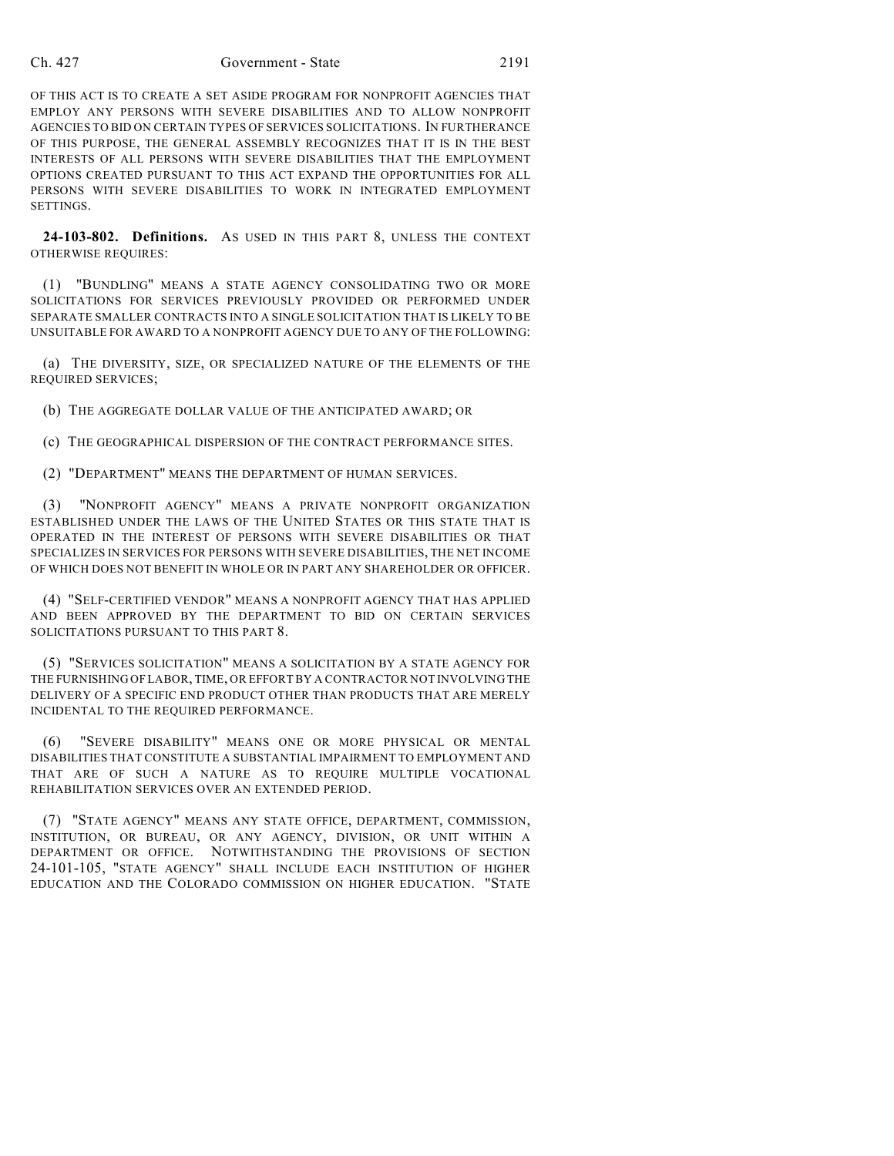#### Ch. 427 Government - State 2191

OF THIS ACT IS TO CREATE A SET ASIDE PROGRAM FOR NONPROFIT AGENCIES THAT EMPLOY ANY PERSONS WITH SEVERE DISABILITIES AND TO ALLOW NONPROFIT AGENCIES TO BID ON CERTAIN TYPES OF SERVICES SOLICITATIONS. IN FURTHERANCE OF THIS PURPOSE, THE GENERAL ASSEMBLY RECOGNIZES THAT IT IS IN THE BEST INTERESTS OF ALL PERSONS WITH SEVERE DISABILITIES THAT THE EMPLOYMENT OPTIONS CREATED PURSUANT TO THIS ACT EXPAND THE OPPORTUNITIES FOR ALL PERSONS WITH SEVERE DISABILITIES TO WORK IN INTEGRATED EMPLOYMENT **SETTINGS** 

**24-103-802. Definitions.** AS USED IN THIS PART 8, UNLESS THE CONTEXT OTHERWISE REQUIRES:

(1) "BUNDLING" MEANS A STATE AGENCY CONSOLIDATING TWO OR MORE SOLICITATIONS FOR SERVICES PREVIOUSLY PROVIDED OR PERFORMED UNDER SEPARATE SMALLER CONTRACTS INTO A SINGLE SOLICITATION THAT IS LIKELY TO BE UNSUITABLE FOR AWARD TO A NONPROFIT AGENCY DUE TO ANY OF THE FOLLOWING:

(a) THE DIVERSITY, SIZE, OR SPECIALIZED NATURE OF THE ELEMENTS OF THE REQUIRED SERVICES;

(b) THE AGGREGATE DOLLAR VALUE OF THE ANTICIPATED AWARD; OR

(c) THE GEOGRAPHICAL DISPERSION OF THE CONTRACT PERFORMANCE SITES.

(2) "DEPARTMENT" MEANS THE DEPARTMENT OF HUMAN SERVICES.

(3) "NONPROFIT AGENCY" MEANS A PRIVATE NONPROFIT ORGANIZATION ESTABLISHED UNDER THE LAWS OF THE UNITED STATES OR THIS STATE THAT IS OPERATED IN THE INTEREST OF PERSONS WITH SEVERE DISABILITIES OR THAT SPECIALIZES IN SERVICES FOR PERSONS WITH SEVERE DISABILITIES, THE NET INCOME OF WHICH DOES NOT BENEFIT IN WHOLE OR IN PART ANY SHAREHOLDER OR OFFICER.

(4) "SELF-CERTIFIED VENDOR" MEANS A NONPROFIT AGENCY THAT HAS APPLIED AND BEEN APPROVED BY THE DEPARTMENT TO BID ON CERTAIN SERVICES SOLICITATIONS PURSUANT TO THIS PART 8.

(5) "SERVICES SOLICITATION" MEANS A SOLICITATION BY A STATE AGENCY FOR THE FURNISHING OF LABOR, TIME, OR EFFORT BY A CONTRACTOR NOT INVOLVING THE DELIVERY OF A SPECIFIC END PRODUCT OTHER THAN PRODUCTS THAT ARE MERELY INCIDENTAL TO THE REQUIRED PERFORMANCE.

(6) "SEVERE DISABILITY" MEANS ONE OR MORE PHYSICAL OR MENTAL DISABILITIES THAT CONSTITUTE A SUBSTANTIAL IMPAIRMENT TO EMPLOYMENT AND THAT ARE OF SUCH A NATURE AS TO REQUIRE MULTIPLE VOCATIONAL REHABILITATION SERVICES OVER AN EXTENDED PERIOD.

(7) "STATE AGENCY" MEANS ANY STATE OFFICE, DEPARTMENT, COMMISSION, INSTITUTION, OR BUREAU, OR ANY AGENCY, DIVISION, OR UNIT WITHIN A DEPARTMENT OR OFFICE. NOTWITHSTANDING THE PROVISIONS OF SECTION 24-101-105, "STATE AGENCY" SHALL INCLUDE EACH INSTITUTION OF HIGHER EDUCATION AND THE COLORADO COMMISSION ON HIGHER EDUCATION. "STATE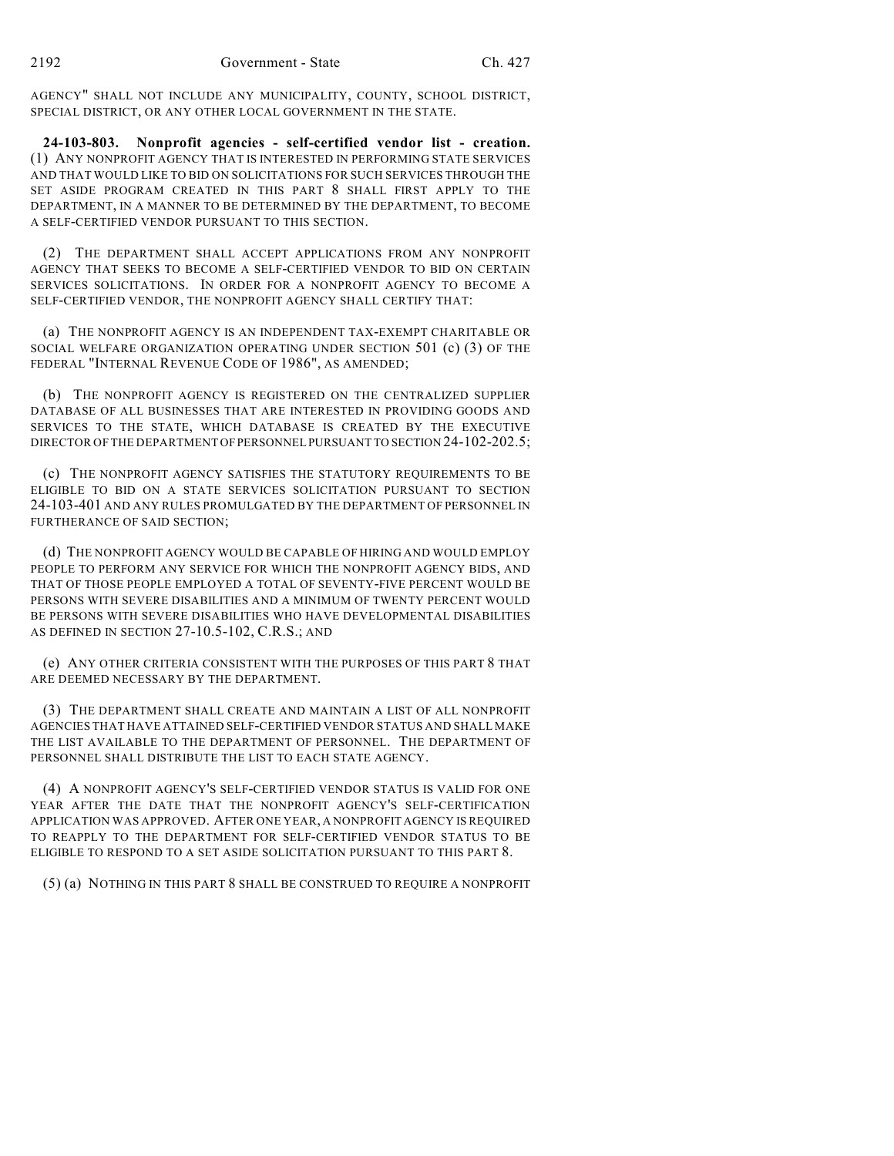AGENCY" SHALL NOT INCLUDE ANY MUNICIPALITY, COUNTY, SCHOOL DISTRICT, SPECIAL DISTRICT, OR ANY OTHER LOCAL GOVERNMENT IN THE STATE.

**24-103-803. Nonprofit agencies - self-certified vendor list - creation.** (1) ANY NONPROFIT AGENCY THAT IS INTERESTED IN PERFORMING STATE SERVICES AND THAT WOULD LIKE TO BID ON SOLICITATIONS FOR SUCH SERVICES THROUGH THE SET ASIDE PROGRAM CREATED IN THIS PART 8 SHALL FIRST APPLY TO THE DEPARTMENT, IN A MANNER TO BE DETERMINED BY THE DEPARTMENT, TO BECOME A SELF-CERTIFIED VENDOR PURSUANT TO THIS SECTION.

(2) THE DEPARTMENT SHALL ACCEPT APPLICATIONS FROM ANY NONPROFIT AGENCY THAT SEEKS TO BECOME A SELF-CERTIFIED VENDOR TO BID ON CERTAIN SERVICES SOLICITATIONS. IN ORDER FOR A NONPROFIT AGENCY TO BECOME A SELF-CERTIFIED VENDOR, THE NONPROFIT AGENCY SHALL CERTIFY THAT:

(a) THE NONPROFIT AGENCY IS AN INDEPENDENT TAX-EXEMPT CHARITABLE OR SOCIAL WELFARE ORGANIZATION OPERATING UNDER SECTION 501 (c) (3) OF THE FEDERAL "INTERNAL REVENUE CODE OF 1986", AS AMENDED;

(b) THE NONPROFIT AGENCY IS REGISTERED ON THE CENTRALIZED SUPPLIER DATABASE OF ALL BUSINESSES THAT ARE INTERESTED IN PROVIDING GOODS AND SERVICES TO THE STATE, WHICH DATABASE IS CREATED BY THE EXECUTIVE DIRECTOR OF THE DEPARTMENT OF PERSONNEL PURSUANT TO SECTION 24-102-202.5;

(c) THE NONPROFIT AGENCY SATISFIES THE STATUTORY REQUIREMENTS TO BE ELIGIBLE TO BID ON A STATE SERVICES SOLICITATION PURSUANT TO SECTION 24-103-401 AND ANY RULES PROMULGATED BY THE DEPARTMENT OF PERSONNEL IN FURTHERANCE OF SAID SECTION;

(d) THE NONPROFIT AGENCY WOULD BE CAPABLE OF HIRING AND WOULD EMPLOY PEOPLE TO PERFORM ANY SERVICE FOR WHICH THE NONPROFIT AGENCY BIDS, AND THAT OF THOSE PEOPLE EMPLOYED A TOTAL OF SEVENTY-FIVE PERCENT WOULD BE PERSONS WITH SEVERE DISABILITIES AND A MINIMUM OF TWENTY PERCENT WOULD BE PERSONS WITH SEVERE DISABILITIES WHO HAVE DEVELOPMENTAL DISABILITIES AS DEFINED IN SECTION 27-10.5-102, C.R.S.; AND

(e) ANY OTHER CRITERIA CONSISTENT WITH THE PURPOSES OF THIS PART 8 THAT ARE DEEMED NECESSARY BY THE DEPARTMENT.

(3) THE DEPARTMENT SHALL CREATE AND MAINTAIN A LIST OF ALL NONPROFIT AGENCIES THAT HAVE ATTAINED SELF-CERTIFIED VENDOR STATUS AND SHALL MAKE THE LIST AVAILABLE TO THE DEPARTMENT OF PERSONNEL. THE DEPARTMENT OF PERSONNEL SHALL DISTRIBUTE THE LIST TO EACH STATE AGENCY.

(4) A NONPROFIT AGENCY'S SELF-CERTIFIED VENDOR STATUS IS VALID FOR ONE YEAR AFTER THE DATE THAT THE NONPROFIT AGENCY'S SELF-CERTIFICATION APPLICATION WAS APPROVED. AFTER ONE YEAR, A NONPROFIT AGENCY IS REQUIRED TO REAPPLY TO THE DEPARTMENT FOR SELF-CERTIFIED VENDOR STATUS TO BE ELIGIBLE TO RESPOND TO A SET ASIDE SOLICITATION PURSUANT TO THIS PART 8.

(5) (a) NOTHING IN THIS PART 8 SHALL BE CONSTRUED TO REQUIRE A NONPROFIT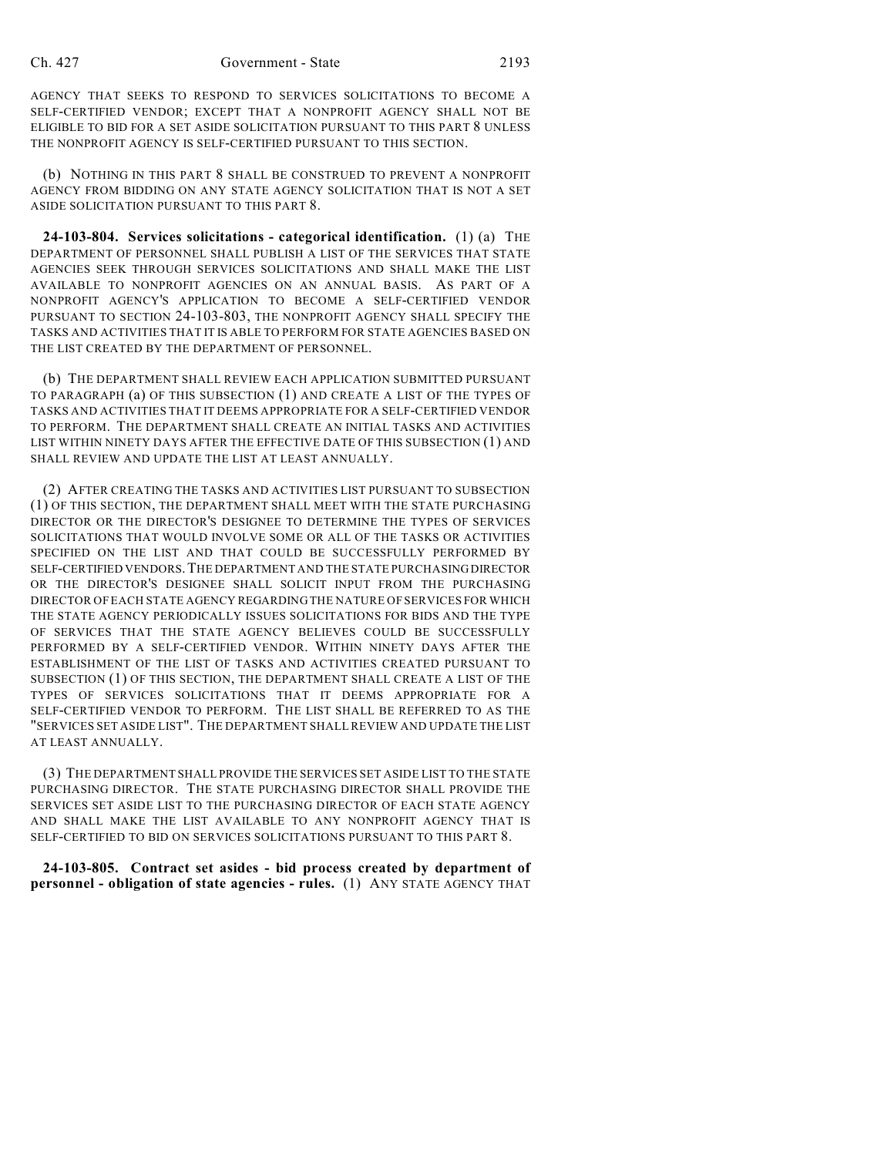AGENCY THAT SEEKS TO RESPOND TO SERVICES SOLICITATIONS TO BECOME A SELF-CERTIFIED VENDOR; EXCEPT THAT A NONPROFIT AGENCY SHALL NOT BE ELIGIBLE TO BID FOR A SET ASIDE SOLICITATION PURSUANT TO THIS PART 8 UNLESS THE NONPROFIT AGENCY IS SELF-CERTIFIED PURSUANT TO THIS SECTION.

(b) NOTHING IN THIS PART 8 SHALL BE CONSTRUED TO PREVENT A NONPROFIT AGENCY FROM BIDDING ON ANY STATE AGENCY SOLICITATION THAT IS NOT A SET ASIDE SOLICITATION PURSUANT TO THIS PART 8.

**24-103-804. Services solicitations - categorical identification.** (1) (a) THE DEPARTMENT OF PERSONNEL SHALL PUBLISH A LIST OF THE SERVICES THAT STATE AGENCIES SEEK THROUGH SERVICES SOLICITATIONS AND SHALL MAKE THE LIST AVAILABLE TO NONPROFIT AGENCIES ON AN ANNUAL BASIS. AS PART OF A NONPROFIT AGENCY'S APPLICATION TO BECOME A SELF-CERTIFIED VENDOR PURSUANT TO SECTION 24-103-803, THE NONPROFIT AGENCY SHALL SPECIFY THE TASKS AND ACTIVITIES THAT IT IS ABLE TO PERFORM FOR STATE AGENCIES BASED ON THE LIST CREATED BY THE DEPARTMENT OF PERSONNEL.

(b) THE DEPARTMENT SHALL REVIEW EACH APPLICATION SUBMITTED PURSUANT TO PARAGRAPH (a) OF THIS SUBSECTION (1) AND CREATE A LIST OF THE TYPES OF TASKS AND ACTIVITIES THAT IT DEEMS APPROPRIATE FOR A SELF-CERTIFIED VENDOR TO PERFORM. THE DEPARTMENT SHALL CREATE AN INITIAL TASKS AND ACTIVITIES LIST WITHIN NINETY DAYS AFTER THE EFFECTIVE DATE OF THIS SUBSECTION (1) AND SHALL REVIEW AND UPDATE THE LIST AT LEAST ANNUALLY.

(2) AFTER CREATING THE TASKS AND ACTIVITIES LIST PURSUANT TO SUBSECTION (1) OF THIS SECTION, THE DEPARTMENT SHALL MEET WITH THE STATE PURCHASING DIRECTOR OR THE DIRECTOR'S DESIGNEE TO DETERMINE THE TYPES OF SERVICES SOLICITATIONS THAT WOULD INVOLVE SOME OR ALL OF THE TASKS OR ACTIVITIES SPECIFIED ON THE LIST AND THAT COULD BE SUCCESSFULLY PERFORMED BY SELF-CERTIFIED VENDORS.THE DEPARTMENT AND THE STATE PURCHASING DIRECTOR OR THE DIRECTOR'S DESIGNEE SHALL SOLICIT INPUT FROM THE PURCHASING DIRECTOR OF EACH STATE AGENCY REGARDING THE NATURE OF SERVICES FOR WHICH THE STATE AGENCY PERIODICALLY ISSUES SOLICITATIONS FOR BIDS AND THE TYPE OF SERVICES THAT THE STATE AGENCY BELIEVES COULD BE SUCCESSFULLY PERFORMED BY A SELF-CERTIFIED VENDOR. WITHIN NINETY DAYS AFTER THE ESTABLISHMENT OF THE LIST OF TASKS AND ACTIVITIES CREATED PURSUANT TO SUBSECTION (1) OF THIS SECTION, THE DEPARTMENT SHALL CREATE A LIST OF THE TYPES OF SERVICES SOLICITATIONS THAT IT DEEMS APPROPRIATE FOR A SELF-CERTIFIED VENDOR TO PERFORM. THE LIST SHALL BE REFERRED TO AS THE "SERVICES SET ASIDE LIST". THE DEPARTMENT SHALL REVIEW AND UPDATE THE LIST AT LEAST ANNUALLY.

(3) THE DEPARTMENT SHALL PROVIDE THE SERVICES SET ASIDE LIST TO THE STATE PURCHASING DIRECTOR. THE STATE PURCHASING DIRECTOR SHALL PROVIDE THE SERVICES SET ASIDE LIST TO THE PURCHASING DIRECTOR OF EACH STATE AGENCY AND SHALL MAKE THE LIST AVAILABLE TO ANY NONPROFIT AGENCY THAT IS SELF-CERTIFIED TO BID ON SERVICES SOLICITATIONS PURSUANT TO THIS PART 8.

**24-103-805. Contract set asides - bid process created by department of personnel - obligation of state agencies - rules.** (1) ANY STATE AGENCY THAT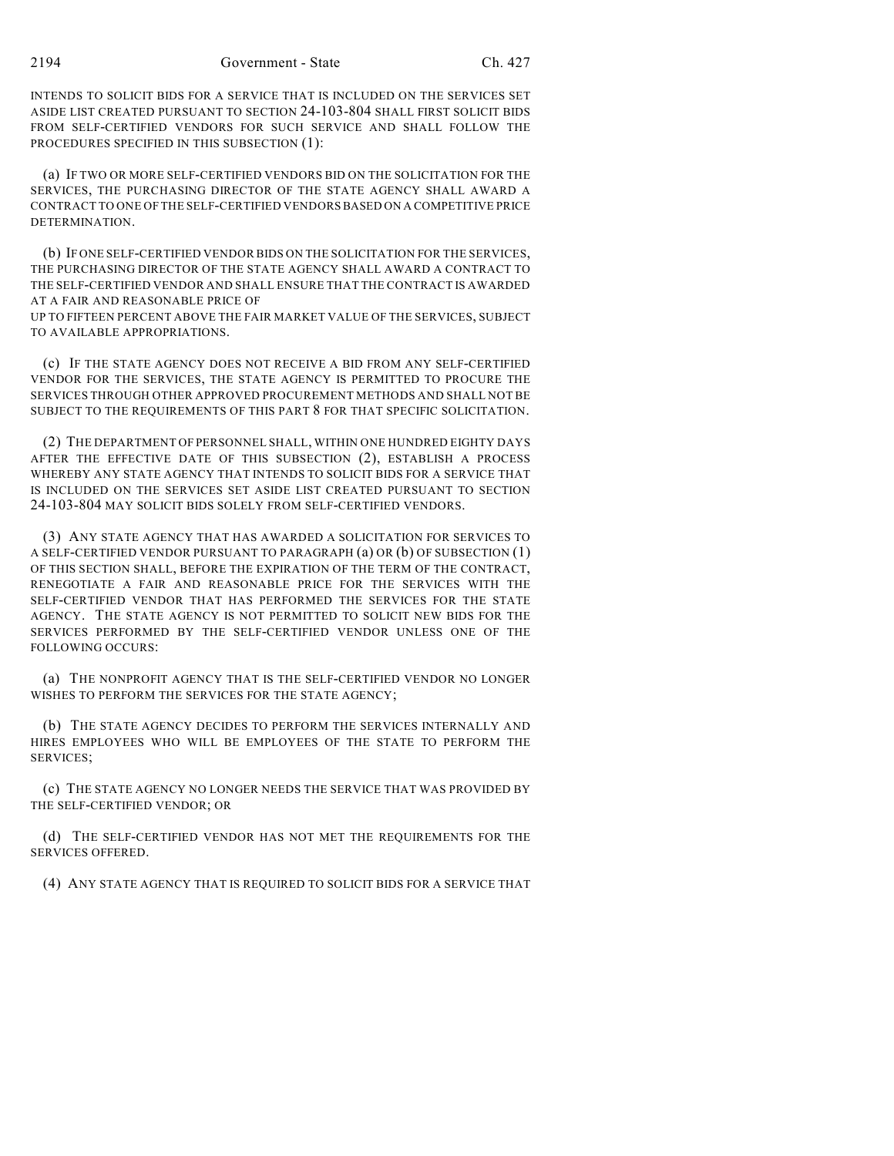INTENDS TO SOLICIT BIDS FOR A SERVICE THAT IS INCLUDED ON THE SERVICES SET ASIDE LIST CREATED PURSUANT TO SECTION 24-103-804 SHALL FIRST SOLICIT BIDS FROM SELF-CERTIFIED VENDORS FOR SUCH SERVICE AND SHALL FOLLOW THE PROCEDURES SPECIFIED IN THIS SUBSECTION (1):

(a) IF TWO OR MORE SELF-CERTIFIED VENDORS BID ON THE SOLICITATION FOR THE SERVICES, THE PURCHASING DIRECTOR OF THE STATE AGENCY SHALL AWARD A CONTRACT TO ONE OF THE SELF-CERTIFIED VENDORS BASED ON A COMPETITIVE PRICE DETERMINATION.

(b) IF ONE SELF-CERTIFIED VENDOR BIDS ON THE SOLICITATION FOR THE SERVICES, THE PURCHASING DIRECTOR OF THE STATE AGENCY SHALL AWARD A CONTRACT TO THE SELF-CERTIFIED VENDOR AND SHALL ENSURE THAT THE CONTRACT IS AWARDED AT A FAIR AND REASONABLE PRICE OF UP TO FIFTEEN PERCENT ABOVE THE FAIR MARKET VALUE OF THE SERVICES, SUBJECT

TO AVAILABLE APPROPRIATIONS.

(c) IF THE STATE AGENCY DOES NOT RECEIVE A BID FROM ANY SELF-CERTIFIED VENDOR FOR THE SERVICES, THE STATE AGENCY IS PERMITTED TO PROCURE THE SERVICES THROUGH OTHER APPROVED PROCUREMENT METHODS AND SHALL NOT BE SUBJECT TO THE REQUIREMENTS OF THIS PART 8 FOR THAT SPECIFIC SOLICITATION.

(2) THE DEPARTMENT OF PERSONNEL SHALL, WITHIN ONE HUNDRED EIGHTY DAYS AFTER THE EFFECTIVE DATE OF THIS SUBSECTION (2), ESTABLISH A PROCESS WHEREBY ANY STATE AGENCY THAT INTENDS TO SOLICIT BIDS FOR A SERVICE THAT IS INCLUDED ON THE SERVICES SET ASIDE LIST CREATED PURSUANT TO SECTION 24-103-804 MAY SOLICIT BIDS SOLELY FROM SELF-CERTIFIED VENDORS.

(3) ANY STATE AGENCY THAT HAS AWARDED A SOLICITATION FOR SERVICES TO A SELF-CERTIFIED VENDOR PURSUANT TO PARAGRAPH (a) OR (b) OF SUBSECTION (1) OF THIS SECTION SHALL, BEFORE THE EXPIRATION OF THE TERM OF THE CONTRACT, RENEGOTIATE A FAIR AND REASONABLE PRICE FOR THE SERVICES WITH THE SELF-CERTIFIED VENDOR THAT HAS PERFORMED THE SERVICES FOR THE STATE AGENCY. THE STATE AGENCY IS NOT PERMITTED TO SOLICIT NEW BIDS FOR THE SERVICES PERFORMED BY THE SELF-CERTIFIED VENDOR UNLESS ONE OF THE FOLLOWING OCCURS:

(a) THE NONPROFIT AGENCY THAT IS THE SELF-CERTIFIED VENDOR NO LONGER WISHES TO PERFORM THE SERVICES FOR THE STATE AGENCY;

(b) THE STATE AGENCY DECIDES TO PERFORM THE SERVICES INTERNALLY AND HIRES EMPLOYEES WHO WILL BE EMPLOYEES OF THE STATE TO PERFORM THE SERVICES;

(c) THE STATE AGENCY NO LONGER NEEDS THE SERVICE THAT WAS PROVIDED BY THE SELF-CERTIFIED VENDOR; OR

(d) THE SELF-CERTIFIED VENDOR HAS NOT MET THE REQUIREMENTS FOR THE SERVICES OFFERED.

(4) ANY STATE AGENCY THAT IS REQUIRED TO SOLICIT BIDS FOR A SERVICE THAT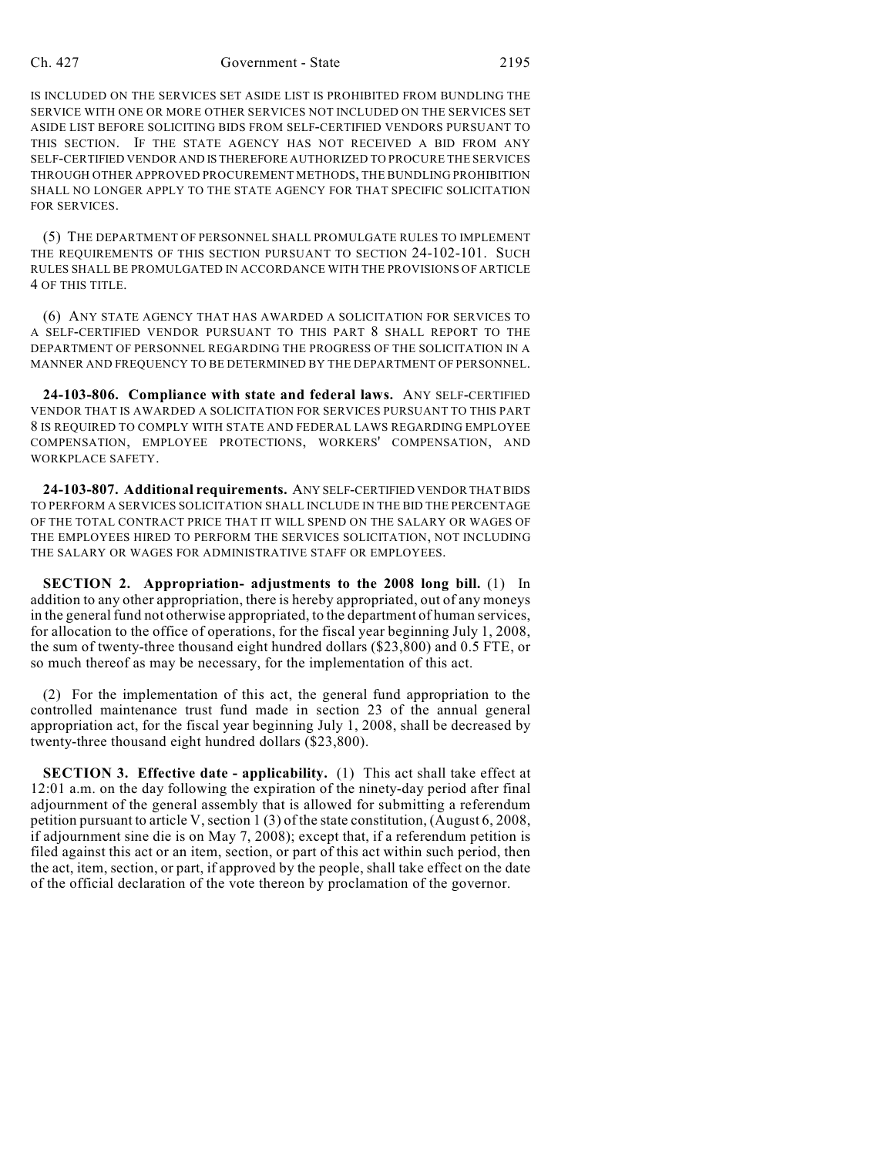## Ch. 427 Government - State 2195

IS INCLUDED ON THE SERVICES SET ASIDE LIST IS PROHIBITED FROM BUNDLING THE SERVICE WITH ONE OR MORE OTHER SERVICES NOT INCLUDED ON THE SERVICES SET ASIDE LIST BEFORE SOLICITING BIDS FROM SELF-CERTIFIED VENDORS PURSUANT TO THIS SECTION. IF THE STATE AGENCY HAS NOT RECEIVED A BID FROM ANY SELF-CERTIFIED VENDOR AND IS THEREFORE AUTHORIZED TO PROCURE THE SERVICES THROUGH OTHER APPROVED PROCUREMENT METHODS, THE BUNDLING PROHIBITION SHALL NO LONGER APPLY TO THE STATE AGENCY FOR THAT SPECIFIC SOLICITATION FOR SERVICES.

(5) THE DEPARTMENT OF PERSONNEL SHALL PROMULGATE RULES TO IMPLEMENT THE REQUIREMENTS OF THIS SECTION PURSUANT TO SECTION 24-102-101. SUCH RULES SHALL BE PROMULGATED IN ACCORDANCE WITH THE PROVISIONS OF ARTICLE 4 OF THIS TITLE.

(6) ANY STATE AGENCY THAT HAS AWARDED A SOLICITATION FOR SERVICES TO A SELF-CERTIFIED VENDOR PURSUANT TO THIS PART 8 SHALL REPORT TO THE DEPARTMENT OF PERSONNEL REGARDING THE PROGRESS OF THE SOLICITATION IN A MANNER AND FREQUENCY TO BE DETERMINED BY THE DEPARTMENT OF PERSONNEL.

**24-103-806. Compliance with state and federal laws.** ANY SELF-CERTIFIED VENDOR THAT IS AWARDED A SOLICITATION FOR SERVICES PURSUANT TO THIS PART 8 IS REQUIRED TO COMPLY WITH STATE AND FEDERAL LAWS REGARDING EMPLOYEE COMPENSATION, EMPLOYEE PROTECTIONS, WORKERS' COMPENSATION, AND WORKPLACE SAFETY.

**24-103-807. Additional requirements.** ANY SELF-CERTIFIED VENDOR THAT BIDS TO PERFORM A SERVICES SOLICITATION SHALL INCLUDE IN THE BID THE PERCENTAGE OF THE TOTAL CONTRACT PRICE THAT IT WILL SPEND ON THE SALARY OR WAGES OF THE EMPLOYEES HIRED TO PERFORM THE SERVICES SOLICITATION, NOT INCLUDING THE SALARY OR WAGES FOR ADMINISTRATIVE STAFF OR EMPLOYEES.

**SECTION 2. Appropriation- adjustments to the 2008 long bill.** (1) In addition to any other appropriation, there is hereby appropriated, out of any moneys in the general fund not otherwise appropriated, to the department of human services, for allocation to the office of operations, for the fiscal year beginning July 1, 2008, the sum of twenty-three thousand eight hundred dollars (\$23,800) and 0.5 FTE, or so much thereof as may be necessary, for the implementation of this act.

(2) For the implementation of this act, the general fund appropriation to the controlled maintenance trust fund made in section 23 of the annual general appropriation act, for the fiscal year beginning July 1, 2008, shall be decreased by twenty-three thousand eight hundred dollars (\$23,800).

**SECTION 3. Effective date - applicability.** (1) This act shall take effect at 12:01 a.m. on the day following the expiration of the ninety-day period after final adjournment of the general assembly that is allowed for submitting a referendum petition pursuant to article V, section 1 (3) of the state constitution, (August 6, 2008, if adjournment sine die is on May 7, 2008); except that, if a referendum petition is filed against this act or an item, section, or part of this act within such period, then the act, item, section, or part, if approved by the people, shall take effect on the date of the official declaration of the vote thereon by proclamation of the governor.